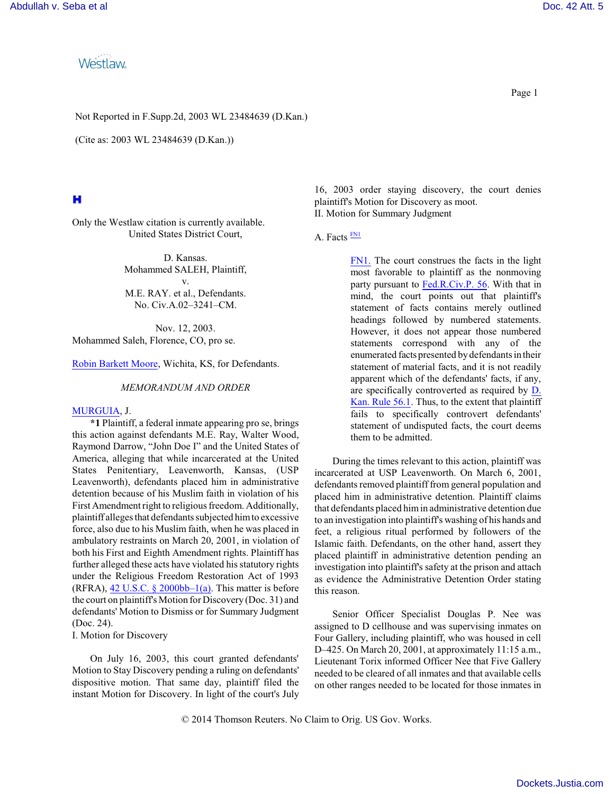Westlaw

Not Reported in F.Supp.2d, 2003 WL 23484639 (D.Kan.)

(Cite as: 2003 WL 23484639 (D.Kan.))

# н

Only the Westlaw citation is currently available. United States District Court,

> D. Kansas. Mohammed SALEH, Plaintiff, v. M.E. RAY. et al., Defendants. No. Civ.A.02–3241–CM.

Nov. 12, 2003. Mohammed Saleh, Florence, CO, pro se.

[Robin Barkett Moore](http://www.westlaw.com/Find/Default.wl?rs=dfa1.0&vr=2.0&DB=PROFILER-WLD&DocName=0212095901&FindType=h), Wichita, KS, for Defendants.

#### *MEMORANDUM AND ORDER*

## [MURGUIA](http://www.westlaw.com/Find/Default.wl?rs=dfa1.0&vr=2.0&DB=PROFILER-WLD&DocName=0135668701&FindType=h), J.

**\*1** Plaintiff, a federal inmate appearing pro se, brings this action against defendants M.E. Ray, Walter Wood, Raymond Darrow, "John Doe I" and the United States of America, alleging that while incarcerated at the United States Penitentiary, Leavenworth, Kansas, (USP Leavenworth), defendants placed him in administrative detention because of his Muslim faith in violation of his First Amendment right to religious freedom. Additionally, plaintiff alleges that defendants subjected himto excessive force, also due to his Muslim faith, when he was placed in ambulatory restraints on March 20, 2001, in violation of both his First and Eighth Amendment rights. Plaintiff has further alleged these acts have violated his statutory rights under the Religious Freedom Restoration Act of 1993 (RFRA),  $42$  U.S.C. § 2000bb-1(a). This matter is before the court on plaintiff's Motion for Discovery (Doc. 31) and defendants' Motion to Dismiss or for Summary Judgment (Doc. 24).

I. Motion for Discovery

On July 16, 2003, this court granted defendants' Motion to Stay Discovery pending a ruling on defendants' dispositive motion. That same day, plaintiff filed the instant Motion for Discovery. In light of the court's July

16, 2003 order staying discovery, the court denies plaintiff's Motion for Discovery as moot. II. Motion for Summary Judgment

## A. Facts **[FN1](#page-0-0)**

<span id="page-0-1"></span><span id="page-0-0"></span>[FN1.](#page-0-1) The court construes the facts in the light most favorable to plaintiff as the nonmoving party pursuant to [Fed.R.Civ.P. 56](http://www.westlaw.com/Find/Default.wl?rs=dfa1.0&vr=2.0&DB=1004365&DocName=USFRCPR56&FindType=L). With that in mind, the court points out that plaintiff's statement of facts contains merely outlined headings followed by numbered statements. However, it does not appear those numbered statements correspond with any of the enumerated facts presented by defendants in their statement of material facts, and it is not readily apparent which of the defendants' facts, if any, are specifically controverted as required by [D.](http://www.westlaw.com/Find/Default.wl?rs=dfa1.0&vr=2.0&DB=1006355&DocName=KSRUSDR56.1&FindType=L) [Kan. Rule 56.1](http://www.westlaw.com/Find/Default.wl?rs=dfa1.0&vr=2.0&DB=1006355&DocName=KSRUSDR56.1&FindType=L). Thus, to the extent that plaintiff fails to specifically controvert defendants' statement of undisputed facts, the court deems them to be admitted.

During the times relevant to this action, plaintiff was incarcerated at USP Leavenworth. On March 6, 2001, defendants removed plaintiff from general population and placed him in administrative detention. Plaintiff claims that defendants placed himin administrative detention due to an investigation into plaintiff's washing of his hands and feet, a religious ritual performed by followers of the Islamic faith. Defendants, on the other hand, assert they placed plaintiff in administrative detention pending an investigation into plaintiff's safety at the prison and attach as evidence the Administrative Detention Order stating this reason.

Senior Officer Specialist Douglas P. Nee was assigned to D cellhouse and was supervising inmates on Four Gallery, including plaintiff, who was housed in cell D–425. On March 20, 2001, at approximately 11:15 a.m., Lieutenant Torix informed Officer Nee that Five Gallery needed to be cleared of all inmates and that available cells on other ranges needed to be located for those inmates in

© 2014 Thomson Reuters. No Claim to Orig. US Gov. Works.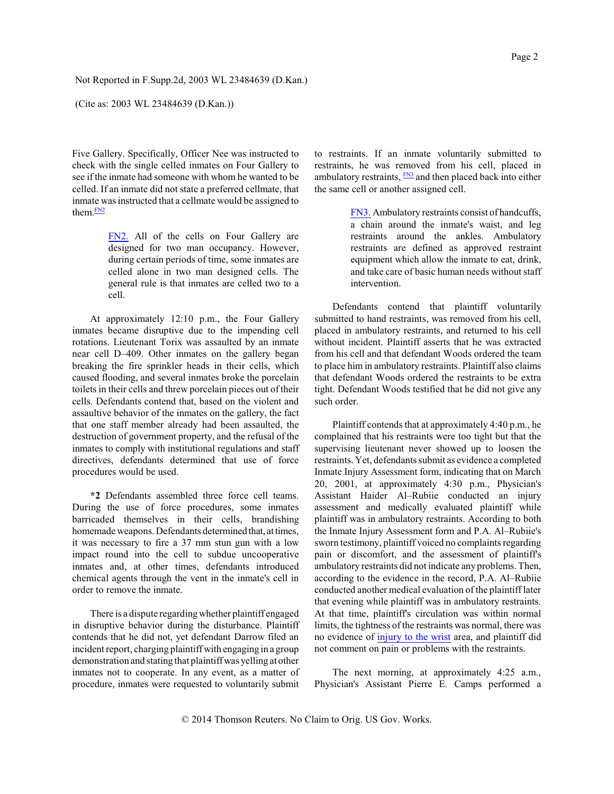(Cite as: 2003 WL 23484639 (D.Kan.))

Five Gallery. Specifically, Officer Nee was instructed to check with the single celled inmates on Four Gallery to see if the inmate had someone with whom he wanted to be celled. If an inmate did not state a preferred cellmate, that inmate was instructed that a cellmate would be assigned to them. IN2

> <span id="page-1-1"></span><span id="page-1-0"></span>[FN2.](#page-1-1) All of the cells on Four Gallery are designed for two man occupancy. However, during certain periods of time, some inmates are celled alone in two man designed cells. The general rule is that inmates are celled two to a cell.

At approximately 12:10 p.m., the Four Gallery inmates became disruptive due to the impending cell rotations. Lieutenant Torix was assaulted by an inmate near cell D–409. Other inmates on the gallery began breaking the fire sprinkler heads in their cells, which caused flooding, and several inmates broke the porcelain toilets in their cells and threw porcelain pieces out of their cells. Defendants contend that, based on the violent and assaultive behavior of the inmates on the gallery, the fact that one staff member already had been assaulted, the destruction of government property, and the refusal of the inmates to comply with institutional regulations and staff directives, defendants determined that use of force procedures would be used.

**\*2** Defendants assembled three force cell teams. During the use of force procedures, some inmates barricaded themselves in their cells, brandishing homemade weapons. Defendants determined that, at times, it was necessary to fire a 37 mm stun gun with a low impact round into the cell to subdue uncooperative inmates and, at other times, defendants introduced chemical agents through the vent in the inmate's cell in order to remove the inmate.

There is a dispute regardingwhether plaintiff engaged in disruptive behavior during the disturbance. Plaintiff contends that he did not, yet defendant Darrow filed an incident report, charging plaintiff with engaging in a group demonstration and stating that plaintiffwas yelling at other inmates not to cooperate. In any event, as a matter of procedure, inmates were requested to voluntarily submit to restraints. If an inmate voluntarily submitted to restraints, he was removed from his cell, placed in ambulatory restraints,  $\frac{FN3}{FN3}$  $\frac{FN3}{FN3}$  $\frac{FN3}{FN3}$  and then placed back into either the same cell or another assigned cell.

> <span id="page-1-3"></span><span id="page-1-2"></span>[FN3.](#page-1-3) Ambulatory restraints consist of handcuffs, a chain around the inmate's waist, and leg restraints around the ankles. Ambulatory restraints are defined as approved restraint equipment which allow the inmate to eat, drink, and take care of basic human needs without staff intervention.

Defendants contend that plaintiff voluntarily submitted to hand restraints, was removed from his cell, placed in ambulatory restraints, and returned to his cell without incident. Plaintiff asserts that he was extracted from his cell and that defendant Woods ordered the team to place him in ambulatory restraints. Plaintiff also claims that defendant Woods ordered the restraints to be extra tight. Defendant Woods testified that he did not give any such order.

Plaintiff contends that at approximately 4:40 p.m., he complained that his restraints were too tight but that the supervising lieutenant never showed up to loosen the restraints. Yet, defendants submit as evidence a completed Inmate Injury Assessment form, indicating that on March 20, 2001, at approximately 4:30 p.m., Physician's Assistant Haider Al–Rubiie conducted an injury assessment and medically evaluated plaintiff while plaintiff was in ambulatory restraints. According to both the Inmate Injury Assessment form and P.A. Al–Rubiie's sworn testimony, plaintiff voiced no complaints regarding pain or discomfort, and the assessment of plaintiff's ambulatory restraints did not indicate anyproblems. Then, according to the evidence in the record, P.A. Al–Rubiie conducted another medical evaluation of the plaintiff later that evening while plaintiff was in ambulatory restraints. At that time, plaintiff's circulation was within normal limits, the tightness of the restraints was normal, there was no evidence of injury to [the wrist](http://www.westlaw.com/Find/Default.wl?rs=dfa1.0&vr=2.0&CMD=ML&DocName=Icb5435dc475411db9765f9243f53508a&FindType=IJ) area, and plaintiff did not comment on pain or problems with the restraints.

The next morning, at approximately 4:25 a.m., Physician's Assistant Pierre E. Camps performed a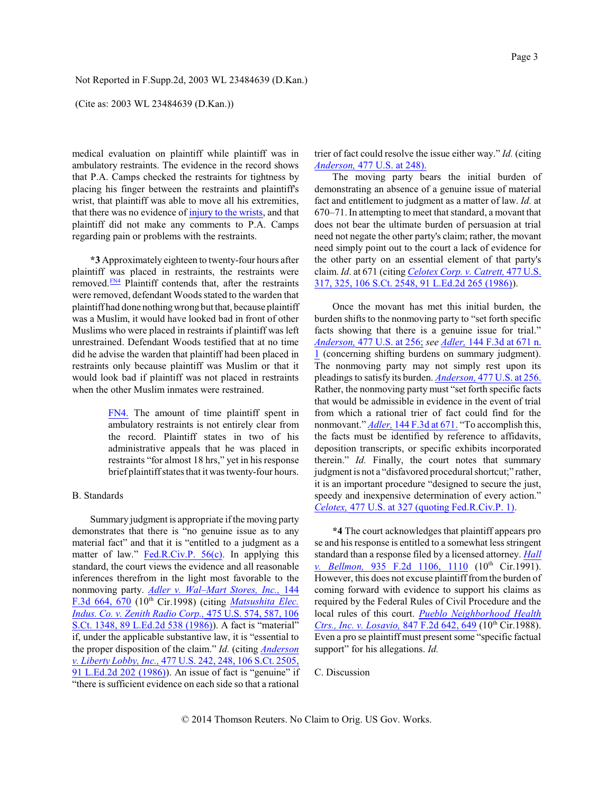(Cite as: 2003 WL 23484639 (D.Kan.))

medical evaluation on plaintiff while plaintiff was in ambulatory restraints. The evidence in the record shows that P.A. Camps checked the restraints for tightness by placing his finger between the restraints and plaintiff's wrist, that plaintiff was able to move all his extremities, that there was no evidence of injury to [the wrists](http://www.westlaw.com/Find/Default.wl?rs=dfa1.0&vr=2.0&CMD=ML&DocName=Icb5435dc475411db9765f9243f53508a&FindType=IJ), and that plaintiff did not make any comments to P.A. Camps regarding pain or problems with the restraints.

<span id="page-2-1"></span>**\*3** Approximately eighteen to twenty-four hours after plaintiff was placed in restraints, the restraints were removed.<sup>[FN4](#page-2-0)</sup> Plaintiff contends that, after the restraints were removed, defendant Woods stated to the warden that plaintiff had done nothingwrong but that, because plaintiff was a Muslim, it would have looked bad in front of other Muslims who were placed in restraints if plaintiff was left unrestrained. Defendant Woods testified that at no time did he advise the warden that plaintiff had been placed in restraints only because plaintiff was Muslim or that it would look bad if plaintiff was not placed in restraints when the other Muslim inmates were restrained.

> <span id="page-2-0"></span>[FN4.](#page-2-1) The amount of time plaintiff spent in ambulatory restraints is not entirely clear from the record. Plaintiff states in two of his administrative appeals that he was placed in restraints "for almost 18 hrs," yet in his response brief plaintiffstates that it was twenty-four hours.

### B. Standards

Summary judgment is appropriate if the moving party demonstrates that there is "no genuine issue as to any material fact" and that it is "entitled to a judgment as a matter of law." [Fed.R.Civ.P. 56\(c\)](http://www.westlaw.com/Find/Default.wl?rs=dfa1.0&vr=2.0&DB=1004365&DocName=USFRCPR56&FindType=L). In applying this standard, the court views the evidence and all reasonable inferences therefrom in the light most favorable to the nonmoving party. *[Adler v. Wal–Mart Stores, Inc.,](http://www.westlaw.com/Find/Default.wl?rs=dfa1.0&vr=2.0&DB=506&FindType=Y&ReferencePositionType=S&SerialNum=1998109558&ReferencePosition=670)* [144](http://www.westlaw.com/Find/Default.wl?rs=dfa1.0&vr=2.0&DB=506&FindType=Y&ReferencePositionType=S&SerialNum=1998109558&ReferencePosition=670) F.3d [664, 670](http://www.westlaw.com/Find/Default.wl?rs=dfa1.0&vr=2.0&DB=506&FindType=Y&ReferencePositionType=S&SerialNum=1998109558&ReferencePosition=670) (10 th Cir.1998) (citing *[Matsushita](http://www.westlaw.com/Find/Default.wl?rs=dfa1.0&vr=2.0&DB=708&FindType=Y&SerialNum=1986115992) Elec. [Indus. Co. v. Zenith](http://www.westlaw.com/Find/Default.wl?rs=dfa1.0&vr=2.0&DB=708&FindType=Y&SerialNum=1986115992) Radio Corp.,* [475 U.S. 574, 587, 106](http://www.westlaw.com/Find/Default.wl?rs=dfa1.0&vr=2.0&DB=708&FindType=Y&SerialNum=1986115992) [S.Ct. 1348, 89](http://www.westlaw.com/Find/Default.wl?rs=dfa1.0&vr=2.0&DB=708&FindType=Y&SerialNum=1986115992) L.Ed.2d 538 (1986)). A fact is "material" if, under the applicable substantive law, it is "essential to the proper disposition of the claim." *Id.* (citing *[Anderson](http://www.westlaw.com/Find/Default.wl?rs=dfa1.0&vr=2.0&DB=708&FindType=Y&SerialNum=1986132674) [v. Liberty Lobby, Inc.,](http://www.westlaw.com/Find/Default.wl?rs=dfa1.0&vr=2.0&DB=708&FindType=Y&SerialNum=1986132674)* 477 [U.S. 242, 248, 106](http://www.westlaw.com/Find/Default.wl?rs=dfa1.0&vr=2.0&DB=708&FindType=Y&SerialNum=1986132674) S.Ct. 2505, 91 [L.Ed.2d](http://www.westlaw.com/Find/Default.wl?rs=dfa1.0&vr=2.0&DB=708&FindType=Y&SerialNum=1986132674) 202 (1986)). An issue of fact is "genuine" if "there is sufficient evidence on each side so that a rational

trier of fact could resolve the issue either way." *Id.* (citing *[Anderson,](http://www.westlaw.com/Find/Default.wl?rs=dfa1.0&vr=2.0&DB=780&FindType=Y&ReferencePositionType=S&SerialNum=1986132674&ReferencePosition=248)* [477 U.S. at 248\).](http://www.westlaw.com/Find/Default.wl?rs=dfa1.0&vr=2.0&DB=780&FindType=Y&ReferencePositionType=S&SerialNum=1986132674&ReferencePosition=248)

The moving party bears the initial burden of demonstrating an absence of a genuine issue of material fact and entitlement to judgment as a matter of law. *Id.* at 670–71. In attempting to meet that standard, a movant that does not bear the ultimate burden of persuasion at trial need not negate the other party's claim; rather, the movant need simply point out to the court a lack of evidence for the other party on an essential element of that party's claim. *Id.* at 671 (citing *[Celotex Corp. v. Catrett,](http://www.westlaw.com/Find/Default.wl?rs=dfa1.0&vr=2.0&DB=708&FindType=Y&SerialNum=1986132677)* 477 [U.S.](http://www.westlaw.com/Find/Default.wl?rs=dfa1.0&vr=2.0&DB=708&FindType=Y&SerialNum=1986132677) [317, 325, 106 S.Ct. 2548, 91 L.Ed.2d 265 \(1986\)](http://www.westlaw.com/Find/Default.wl?rs=dfa1.0&vr=2.0&DB=708&FindType=Y&SerialNum=1986132677)).

Once the movant has met this initial burden, the burden shifts to the nonmoving party to "set forth specific facts showing that there is a genuine issue for trial." *[Anderson,](http://www.westlaw.com/Find/Default.wl?rs=dfa1.0&vr=2.0&DB=780&FindType=Y&ReferencePositionType=S&SerialNum=1986132674&ReferencePosition=256)* 477 [U.S. at 256;](http://www.westlaw.com/Find/Default.wl?rs=dfa1.0&vr=2.0&DB=780&FindType=Y&ReferencePositionType=S&SerialNum=1986132674&ReferencePosition=256) *see [Adler,](http://www.westlaw.com/Find/Default.wl?rs=dfa1.0&vr=2.0&DB=506&FindType=Y&ReferencePositionType=S&SerialNum=1998109558&ReferencePosition=671)* [144 F.3d](http://www.westlaw.com/Find/Default.wl?rs=dfa1.0&vr=2.0&DB=506&FindType=Y&ReferencePositionType=S&SerialNum=1998109558&ReferencePosition=671) at 671 n. [1](http://www.westlaw.com/Find/Default.wl?rs=dfa1.0&vr=2.0&DB=506&FindType=Y&ReferencePositionType=S&SerialNum=1998109558&ReferencePosition=671) (concerning shifting burdens on summary judgment). The nonmoving party may not simply rest upon its pleadings to satisfy its burden. *[Anderson,](http://www.westlaw.com/Find/Default.wl?rs=dfa1.0&vr=2.0&DB=780&FindType=Y&ReferencePositionType=S&SerialNum=1986132674&ReferencePosition=256)* 477 [U.S. at 256.](http://www.westlaw.com/Find/Default.wl?rs=dfa1.0&vr=2.0&DB=780&FindType=Y&ReferencePositionType=S&SerialNum=1986132674&ReferencePosition=256) Rather, the nonmoving party must "set forth specific facts that would be admissible in evidence in the event of trial from which a rational trier of fact could find for the nonmovant." *[Adler,](http://www.westlaw.com/Find/Default.wl?rs=dfa1.0&vr=2.0&DB=506&FindType=Y&ReferencePositionType=S&SerialNum=1998109558&ReferencePosition=671)* [144 F.3d](http://www.westlaw.com/Find/Default.wl?rs=dfa1.0&vr=2.0&DB=506&FindType=Y&ReferencePositionType=S&SerialNum=1998109558&ReferencePosition=671) at 671. "To accomplish this, the facts must be identified by reference to affidavits, deposition transcripts, or specific exhibits incorporated therein." *Id.* Finally, the court notes that summary judgment is not a "disfavored procedural shortcut;" rather, it is an important procedure "designed to secure the just, speedy and inexpensive determination of every action." *[Celotex,](http://www.westlaw.com/Find/Default.wl?rs=dfa1.0&vr=2.0&DB=780&FindType=Y&ReferencePositionType=S&SerialNum=1986132677&ReferencePosition=327)* [477 U.S. at 327 \(quoting Fed.R.Civ.P. 1\)](http://www.westlaw.com/Find/Default.wl?rs=dfa1.0&vr=2.0&DB=780&FindType=Y&ReferencePositionType=S&SerialNum=1986132677&ReferencePosition=327).

**\*4** The court acknowledges that plaintiff appears pro se and his response is entitled to a somewhat less stringent standard than a response filed by a licensed attorney. *[Hall](http://www.westlaw.com/Find/Default.wl?rs=dfa1.0&vr=2.0&DB=350&FindType=Y&ReferencePositionType=S&SerialNum=1991101157&ReferencePosition=1110) [v. Bellmon,](http://www.westlaw.com/Find/Default.wl?rs=dfa1.0&vr=2.0&DB=350&FindType=Y&ReferencePositionType=S&SerialNum=1991101157&ReferencePosition=1110)* 935 F.2d [1106, 1110](http://www.westlaw.com/Find/Default.wl?rs=dfa1.0&vr=2.0&DB=350&FindType=Y&ReferencePositionType=S&SerialNum=1991101157&ReferencePosition=1110) (10<sup>th</sup> Cir.1991). However, this does not excuse plaintiff from the burden of coming forward with evidence to support his claims as required by the Federal Rules of Civil Procedure and the local rules of this court. *Pueblo [Neighborhood](http://www.westlaw.com/Find/Default.wl?rs=dfa1.0&vr=2.0&DB=350&FindType=Y&ReferencePositionType=S&SerialNum=1988068620&ReferencePosition=649) Health* Ctrs., *Inc. v. Losavio*, [847 F.2d 642, 649](http://www.westlaw.com/Find/Default.wl?rs=dfa1.0&vr=2.0&DB=350&FindType=Y&ReferencePositionType=S&SerialNum=1988068620&ReferencePosition=649) (10<sup>th</sup> Cir.1988). Even a pro se plaintiff must present some "specific factual support" for his allegations. *Id.*

## C. Discussion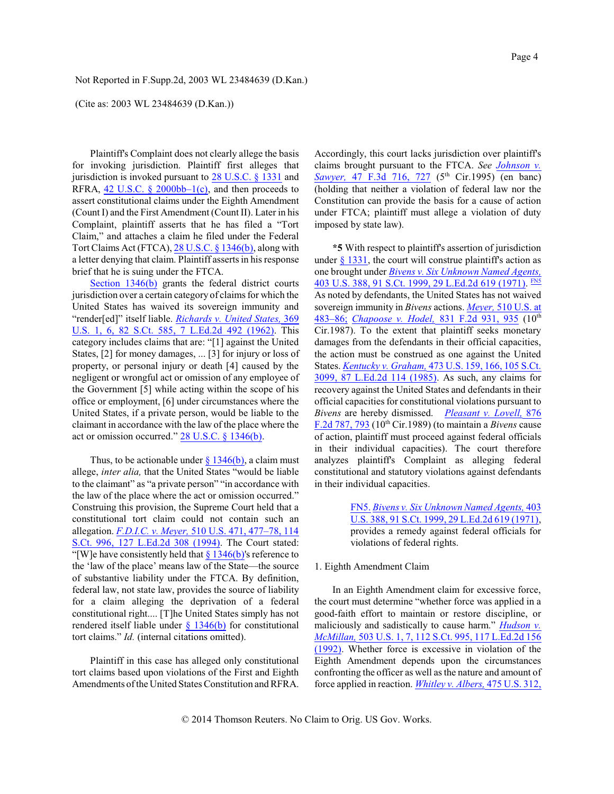#### (Cite as: 2003 WL 23484639 (D.Kan.))

Plaintiff's Complaint does not clearly allege the basis for invoking jurisdiction. Plaintiff first alleges that jurisdiction is invoked pursuant to 28 [U.S.C. §](http://www.westlaw.com/Find/Default.wl?rs=dfa1.0&vr=2.0&DB=1000546&DocName=28USCAS1331&FindType=L) 1331 and RFRA, 42 U.S.C. § 2000bb–1 $(c)$ , and then proceeds to assert constitutional claims under the Eighth Amendment (Count I) and the First Amendment (Count II). Later in his Complaint, plaintiff asserts that he has filed a "Tort Claim," and attaches a claim he filed under the Federal Tort Claims Act (FTCA), 28 [U.S.C. § 1346\(b\)](http://www.westlaw.com/Find/Default.wl?rs=dfa1.0&vr=2.0&DB=1000546&DocName=28USCAS1346&FindType=L&ReferencePositionType=T&ReferencePosition=SP_a83b000018c76), along with a letter denying that claim. Plaintiff asserts in his response brief that he is suing under the FTCA.

Section [1346\(b\)](http://www.westlaw.com/Find/Default.wl?rs=dfa1.0&vr=2.0&DB=1000546&DocName=28USCAS1346&FindType=L&ReferencePositionType=T&ReferencePosition=SP_a83b000018c76) grants the federal district courts jurisdiction over a certain category of claims for which the United States has waived its sovereign immunity and "render[ed]" itself liable. *[Richards v. United](http://www.westlaw.com/Find/Default.wl?rs=dfa1.0&vr=2.0&DB=708&FindType=Y&SerialNum=1962127585) States,* [369](http://www.westlaw.com/Find/Default.wl?rs=dfa1.0&vr=2.0&DB=708&FindType=Y&SerialNum=1962127585) [U.S. 1, 6, 82](http://www.westlaw.com/Find/Default.wl?rs=dfa1.0&vr=2.0&DB=708&FindType=Y&SerialNum=1962127585) S.Ct. 585, 7 L.Ed.2d 492 (1962). This category includes claims that are: "[1] against the United States, [2] for money damages, ... [3] for injury or loss of property, or personal injury or death [4] caused by the negligent or wrongful act or omission of any employee of the Government [5] while acting within the scope of his office or employment, [6] under circumstances where the United States, if a private person, would be liable to the claimant in accordance with the law of the place where the act or omission occurred." [28 U.S.C. § 1346\(b\)](http://www.westlaw.com/Find/Default.wl?rs=dfa1.0&vr=2.0&DB=1000546&DocName=28USCAS1346&FindType=L&ReferencePositionType=T&ReferencePosition=SP_a83b000018c76).

Thus, to be actionable under  $\frac{8}{346(b)}$ , a claim must allege, *inter alia,* that the United States "would be liable to the claimant" as "a private person" "in accordance with the law of the place where the act or omission occurred." Construing this provision, the Supreme Court held that a constitutional tort claim could not contain such an allegation. *[F.D.I.C. v. Meyer,](http://www.westlaw.com/Find/Default.wl?rs=dfa1.0&vr=2.0&DB=708&FindType=Y&SerialNum=1994050907)* 510 [U.S. 471, 477–78, 114](http://www.westlaw.com/Find/Default.wl?rs=dfa1.0&vr=2.0&DB=708&FindType=Y&SerialNum=1994050907) [S.Ct. 996,](http://www.westlaw.com/Find/Default.wl?rs=dfa1.0&vr=2.0&DB=708&FindType=Y&SerialNum=1994050907) 127 L.Ed.2d 308 (1994). The Court stated: "[W]e have consistently held that  $\S 1346(b)$ 's reference to the 'law of the place' means law of the State—the source of substantive liability under the FTCA. By definition, federal law, not state law, provides the source of liability for a claim alleging the deprivation of a federal constitutional right.... [T]he United States simply has not rendered itself liable under  $\S$  [1346\(b\)](http://www.westlaw.com/Find/Default.wl?rs=dfa1.0&vr=2.0&DB=1000546&DocName=28USCAS1346&FindType=L&ReferencePositionType=T&ReferencePosition=SP_a83b000018c76) for constitutional tort claims." *Id.* (internal citations omitted).

Plaintiff in this case has alleged only constitutional tort claims based upon violations of the First and Eighth Amendments of the United States Constitution and RFRA.

Accordingly, this court lacks jurisdiction over plaintiff's claims brought pursuant to the FTCA. *See [Johnson](http://www.westlaw.com/Find/Default.wl?rs=dfa1.0&vr=2.0&DB=506&FindType=Y&ReferencePositionType=S&SerialNum=1995057124&ReferencePosition=727) v. Sawyer*, 47 F.3d [716, 727](http://www.westlaw.com/Find/Default.wl?rs=dfa1.0&vr=2.0&DB=506&FindType=Y&ReferencePositionType=S&SerialNum=1995057124&ReferencePosition=727) (5<sup>th</sup> Cir.1995) (en banc) (holding that neither a violation of federal law nor the Constitution can provide the basis for a cause of action under FTCA; plaintiff must allege a violation of duty imposed by state law).

<span id="page-3-1"></span>**\*5** With respect to plaintiff's assertion of jurisdiction under  $\S$  [1331](http://www.westlaw.com/Find/Default.wl?rs=dfa1.0&vr=2.0&DB=1000546&DocName=28USCAS1331&FindType=L), the court will construe plaintiff's action as one brought under *[Bivens v. Six Unknown](http://www.westlaw.com/Find/Default.wl?rs=dfa1.0&vr=2.0&DB=708&FindType=Y&SerialNum=1971127105) Named Agents,* 403 [U.S. 388, 91 S.Ct. 1999, 29 L.Ed.2d](http://www.westlaw.com/Find/Default.wl?rs=dfa1.0&vr=2.0&DB=708&FindType=Y&SerialNum=1971127105) 619 (1971). [FN5](#page-3-0) As noted by defendants, the United States has not waived sovereign immunity in *Bivens* actions. *[Meyer,](http://www.westlaw.com/Find/Default.wl?rs=dfa1.0&vr=2.0&DB=780&FindType=Y&ReferencePositionType=S&SerialNum=1994050907&ReferencePosition=483)* 510 [U.S. at](http://www.westlaw.com/Find/Default.wl?rs=dfa1.0&vr=2.0&DB=780&FindType=Y&ReferencePositionType=S&SerialNum=1994050907&ReferencePosition=483) [483–86;](http://www.westlaw.com/Find/Default.wl?rs=dfa1.0&vr=2.0&DB=780&FindType=Y&ReferencePositionType=S&SerialNum=1994050907&ReferencePosition=483) *[Chapoose v. Hodel,](http://www.westlaw.com/Find/Default.wl?rs=dfa1.0&vr=2.0&DB=350&FindType=Y&ReferencePositionType=S&SerialNum=1987129640&ReferencePosition=935)* 831 F.2d [931, 935](http://www.westlaw.com/Find/Default.wl?rs=dfa1.0&vr=2.0&DB=350&FindType=Y&ReferencePositionType=S&SerialNum=1987129640&ReferencePosition=935) (10 th Cir.1987). To the extent that plaintiff seeks monetary damages from the defendants in their official capacities, the action must be construed as one against the United States. *[Kentucky v. Graham,](http://www.westlaw.com/Find/Default.wl?rs=dfa1.0&vr=2.0&DB=708&FindType=Y&SerialNum=1985133039)* 473 [U.S. 159, 166, 105](http://www.westlaw.com/Find/Default.wl?rs=dfa1.0&vr=2.0&DB=708&FindType=Y&SerialNum=1985133039) S.Ct. [3099, 87](http://www.westlaw.com/Find/Default.wl?rs=dfa1.0&vr=2.0&DB=708&FindType=Y&SerialNum=1985133039) L.Ed.2d 114 (1985). As such, any claims for recovery against the United States and defendants in their official capacities for constitutional violations pursuant to *Bivens* are hereby dismissed. *[Pleasant v. Lovell,](http://www.westlaw.com/Find/Default.wl?rs=dfa1.0&vr=2.0&DB=350&FindType=Y&ReferencePositionType=S&SerialNum=1989074870&ReferencePosition=793)* [876](http://www.westlaw.com/Find/Default.wl?rs=dfa1.0&vr=2.0&DB=350&FindType=Y&ReferencePositionType=S&SerialNum=1989074870&ReferencePosition=793) F.2d [787, 793](http://www.westlaw.com/Find/Default.wl?rs=dfa1.0&vr=2.0&DB=350&FindType=Y&ReferencePositionType=S&SerialNum=1989074870&ReferencePosition=793) (10 th Cir.1989) (to maintain a *Bivens* cause of action, plaintiff must proceed against federal officials in their individual capacities). The court therefore analyzes plaintiff's Complaint as alleging federal constitutional and statutory violations against defendants in their individual capacities.

> <span id="page-3-0"></span>[FN5.](#page-3-1) *Bivens [v. Six Unknown](http://www.westlaw.com/Find/Default.wl?rs=dfa1.0&vr=2.0&DB=708&FindType=Y&SerialNum=1971127105) Named Agents,* [403](http://www.westlaw.com/Find/Default.wl?rs=dfa1.0&vr=2.0&DB=708&FindType=Y&SerialNum=1971127105) U.S. 388, 91 [S.Ct. 1999, 29](http://www.westlaw.com/Find/Default.wl?rs=dfa1.0&vr=2.0&DB=708&FindType=Y&SerialNum=1971127105) L.Ed.2d 619 (1971), provides a remedy against federal officials for violations of federal rights.

#### 1. Eighth Amendment Claim

In an Eighth Amendment claim for excessive force, the court must determine "whether force was applied in a good-faith effort to maintain or restore discipline, or maliciously and sadistically to cause harm." *[Hudson](http://www.westlaw.com/Find/Default.wl?rs=dfa1.0&vr=2.0&DB=708&FindType=Y&SerialNum=1992046037) v. [McMillan,](http://www.westlaw.com/Find/Default.wl?rs=dfa1.0&vr=2.0&DB=708&FindType=Y&SerialNum=1992046037)* 503 U.S. 1, 7, 112 [S.Ct. 995, 117](http://www.westlaw.com/Find/Default.wl?rs=dfa1.0&vr=2.0&DB=708&FindType=Y&SerialNum=1992046037) L.Ed.2d 156 [\(1992\)](http://www.westlaw.com/Find/Default.wl?rs=dfa1.0&vr=2.0&DB=708&FindType=Y&SerialNum=1992046037). Whether force is excessive in violation of the Eighth Amendment depends upon the circumstances confronting the officer as well as the nature and amount of force applied in reaction. *[Whitley v. Albers,](http://www.westlaw.com/Find/Default.wl?rs=dfa1.0&vr=2.0&DB=708&FindType=Y&SerialNum=1986111255)* 475 [U.S. 312,](http://www.westlaw.com/Find/Default.wl?rs=dfa1.0&vr=2.0&DB=708&FindType=Y&SerialNum=1986111255)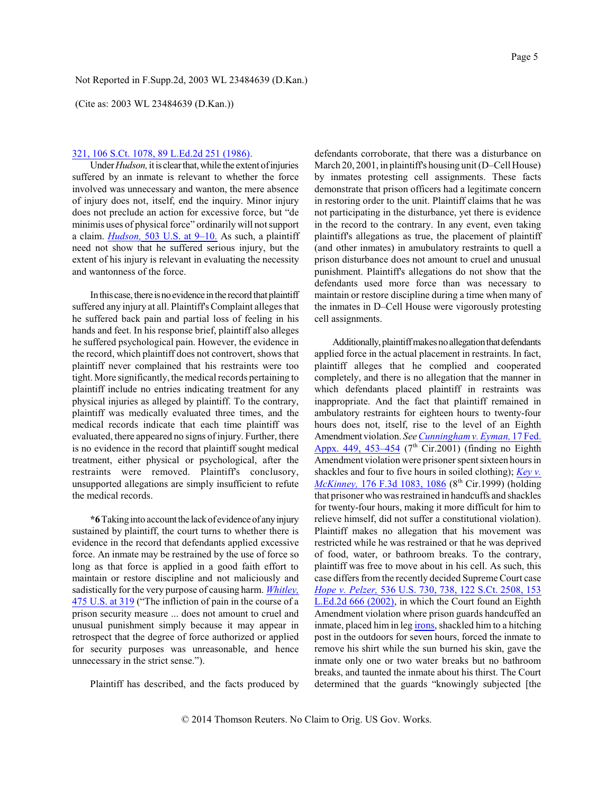(Cite as: 2003 WL 23484639 (D.Kan.))

### 321, 106 S.Ct. 1078, 89 L.Ed.2d 251 (1986).

Under *Hudson*, it is clear that, while the extent of injuries suffered by an inmate is relevant to whether the force involved was unnecessary and wanton, the mere absence of injury does not, itself, end the inquiry. Minor injury does not preclude an action for excessive force, but "de minimis uses of physical force" ordinarily will not support a claim. *[Hudson,](http://www.westlaw.com/Find/Default.wl?rs=dfa1.0&vr=2.0&DB=780&FindType=Y&ReferencePositionType=S&SerialNum=1992046037&ReferencePosition=9)* 503 [U.S. at 9–10.](http://www.westlaw.com/Find/Default.wl?rs=dfa1.0&vr=2.0&DB=780&FindType=Y&ReferencePositionType=S&SerialNum=1992046037&ReferencePosition=9) As such, a plaintiff need not show that he suffered serious injury, but the extent of his injury is relevant in evaluating the necessity and wantonness of the force.

In this case, there is no evidence in the record that plaintiff suffered any injury at all. Plaintiff's Complaint alleges that he suffered back pain and partial loss of feeling in his hands and feet. In his response brief, plaintiff also alleges he suffered psychological pain. However, the evidence in the record, which plaintiff does not controvert, shows that plaintiff never complained that his restraints were too tight. More significantly, the medical records pertaining to plaintiff include no entries indicating treatment for any physical injuries as alleged by plaintiff. To the contrary, plaintiff was medically evaluated three times, and the medical records indicate that each time plaintiff was evaluated, there appeared no signs ofinjury. Further, there is no evidence in the record that plaintiff sought medical treatment, either physical or psychological, after the restraints were removed. Plaintiff's conclusory, unsupported allegations are simply insufficient to refute the medical records.

\*6 Taking into account the lack of evidence of any injury sustained by plaintiff, the court turns to whether there is evidence in the record that defendants applied excessive force. An inmate may be restrained by the use of force so long as that force is applied in a good faith effort to maintain or restore discipline and not maliciously and sadistically for the very purpose of causing harm. *[Whitley,](http://www.westlaw.com/Find/Default.wl?rs=dfa1.0&vr=2.0&DB=780&FindType=Y&ReferencePositionType=S&SerialNum=1986111255&ReferencePosition=319)* 475 [U.S. at 319](http://www.westlaw.com/Find/Default.wl?rs=dfa1.0&vr=2.0&DB=780&FindType=Y&ReferencePositionType=S&SerialNum=1986111255&ReferencePosition=319) ("The infliction of pain in the course of a prison security measure ... does not amount to cruel and unusual punishment simply because it may appear in retrospect that the degree of force authorized or applied for security purposes was unreasonable, and hence unnecessary in the strict sense.").

Plaintiff has described, and the facts produced by

defendants corroborate, that there was a disturbance on March 20, 2001, in plaintiff's housing unit (D–Cell House) by inmates protesting cell assignments. These facts demonstrate that prison officers had a legitimate concern in restoring order to the unit. Plaintiff claims that he was not participating in the disturbance, yet there is evidence in the record to the contrary. In any event, even taking plaintiff's allegations as true, the placement of plaintiff (and other inmates) in amubulatory restraints to quell a prison disturbance does not amount to cruel and unusual punishment. Plaintiff's allegations do not show that the defendants used more force than was necessary to maintain or restore discipline during a time when many of the inmates in D–Cell House were vigorously protesting cell assignments.

Additionally, plaintiff makes no allegation that defendants applied force in the actual placement in restraints. In fact, plaintiff alleges that he complied and cooperated completely, and there is no allegation that the manner in which defendants placed plaintiff in restraints was inappropriate. And the fact that plaintiff remained in ambulatory restraints for eighteen hours to twenty-four hours does not, itself, rise to the level of an Eighth Amendment violation. *See [Cunningham v. Eyman,](http://www.westlaw.com/Find/Default.wl?rs=dfa1.0&vr=2.0&DB=6538&FindType=Y&ReferencePositionType=S&SerialNum=2001714618&ReferencePosition=453)* 17 [Fed.](http://www.westlaw.com/Find/Default.wl?rs=dfa1.0&vr=2.0&DB=6538&FindType=Y&ReferencePositionType=S&SerialNum=2001714618&ReferencePosition=453) Appx. 449, 453-454 (7<sup>th</sup> Cir.2001) (finding no Eighth Amendment violation were prisoner spent sixteen hours in shackles and four to five hours in soiled clothing); *[Key v.](http://www.westlaw.com/Find/Default.wl?rs=dfa1.0&vr=2.0&DB=506&FindType=Y&ReferencePositionType=S&SerialNum=1999120703&ReferencePosition=1086) McKinney*, 176 F.3d [1083, 1086](http://www.westlaw.com/Find/Default.wl?rs=dfa1.0&vr=2.0&DB=506&FindType=Y&ReferencePositionType=S&SerialNum=1999120703&ReferencePosition=1086) (8<sup>th</sup> Cir.1999) (holding that prisoner who was restrained in handcuffs and shackles for twenty-four hours, making it more difficult for him to relieve himself, did not suffer a constitutional violation). Plaintiff makes no allegation that his movement was restricted while he was restrained or that he was deprived of food, water, or bathroom breaks. To the contrary, plaintiff was free to move about in his cell. As such, this case differs fromthe recently decided Supreme Court case *Hope v. [Pelzer,](http://www.westlaw.com/Find/Default.wl?rs=dfa1.0&vr=2.0&DB=708&FindType=Y&SerialNum=2002399101)* 536 [U.S. 730, 738, 122](http://www.westlaw.com/Find/Default.wl?rs=dfa1.0&vr=2.0&DB=708&FindType=Y&SerialNum=2002399101) S.Ct. 2508, 153 [L.Ed.2d](http://www.westlaw.com/Find/Default.wl?rs=dfa1.0&vr=2.0&DB=708&FindType=Y&SerialNum=2002399101) 666 (2002), in which the Court found an Eighth Amendment violation where prison guards handcuffed an inmate, placed him in leg [irons](http://www.westlaw.com/Find/Default.wl?rs=dfa1.0&vr=2.0&CMD=ML&DocName=Iff1622e86c7111e18b05fdf15589d8e8&FindType=GD), shackled him to a hitching post in the outdoors for seven hours, forced the inmate to remove his shirt while the sun burned his skin, gave the inmate only one or two water breaks but no bathroom breaks, and taunted the inmate about his thirst. The Court determined that the guards "knowingly subjected [the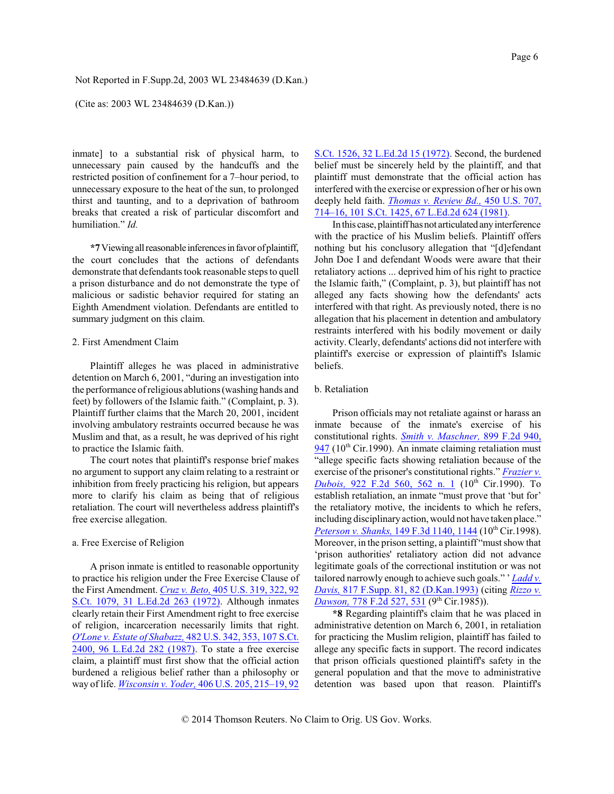(Cite as: 2003 WL 23484639 (D.Kan.))

inmate] to a substantial risk of physical harm, to unnecessary pain caused by the handcuffs and the restricted position of confinement for a 7–hour period, to unnecessary exposure to the heat of the sun, to prolonged thirst and taunting, and to a deprivation of bathroom breaks that created a risk of particular discomfort and humiliation." *Id.*

**\*7**Viewingallreasonable inferencesinfavorofplaintiff, the court concludes that the actions of defendants demonstrate that defendants took reasonable steps to quell a prison disturbance and do not demonstrate the type of malicious or sadistic behavior required for stating an Eighth Amendment violation. Defendants are entitled to summary judgment on this claim.

#### 2. First Amendment Claim

Plaintiff alleges he was placed in administrative detention on March 6, 2001, "during an investigation into the performance ofreligious ablutions(washing hands and feet) by followers of the Islamic faith." (Complaint, p. 3). Plaintiff further claims that the March 20, 2001, incident involving ambulatory restraints occurred because he was Muslim and that, as a result, he was deprived of his right to practice the Islamic faith.

The court notes that plaintiff's response brief makes no argument to support any claim relating to a restraint or inhibition from freely practicing his religion, but appears more to clarify his claim as being that of religious retaliation. The court will nevertheless address plaintiff's free exercise allegation.

#### a. Free Exercise of Religion

A prison inmate is entitled to reasonable opportunity to practice his religion under the Free Exercise Clause of the First Amendment. *[Cruz v. Beto,](http://www.westlaw.com/Find/Default.wl?rs=dfa1.0&vr=2.0&DB=708&FindType=Y&SerialNum=1972127093)* 405 [U.S. 319, 322, 92](http://www.westlaw.com/Find/Default.wl?rs=dfa1.0&vr=2.0&DB=708&FindType=Y&SerialNum=1972127093) [S.Ct. 1079,](http://www.westlaw.com/Find/Default.wl?rs=dfa1.0&vr=2.0&DB=708&FindType=Y&SerialNum=1972127093) 31 L.Ed.2d 263 (1972). Although inmates clearly retain their First Amendment right to free exercise of religion, incarceration necessarily limits that right. *[O'Lone v. Estate of Shabazz,](http://www.westlaw.com/Find/Default.wl?rs=dfa1.0&vr=2.0&DB=708&FindType=Y&SerialNum=1987071661)* 482 [U.S. 342, 353, 107](http://www.westlaw.com/Find/Default.wl?rs=dfa1.0&vr=2.0&DB=708&FindType=Y&SerialNum=1987071661) S.Ct. [2400, 96 L.Ed.2d](http://www.westlaw.com/Find/Default.wl?rs=dfa1.0&vr=2.0&DB=708&FindType=Y&SerialNum=1987071661) 282 (1987). To state a free exercise claim, a plaintiff must first show that the official action burdened a religious belief rather than a philosophy or way of life. *[Wisconsin](http://www.westlaw.com/Find/Default.wl?rs=dfa1.0&vr=2.0&DB=708&FindType=Y&SerialNum=1972127114) v. Yoder,* 406 [U.S. 205, 215–19, 92](http://www.westlaw.com/Find/Default.wl?rs=dfa1.0&vr=2.0&DB=708&FindType=Y&SerialNum=1972127114)

[S.Ct. 1526, 32 L.Ed.2d 15 \(1972\)](http://www.westlaw.com/Find/Default.wl?rs=dfa1.0&vr=2.0&DB=708&FindType=Y&SerialNum=1972127114). Second, the burdened belief must be sincerely held by the plaintiff, and that plaintiff must demonstrate that the official action has interfered with the exercise or expression of her or his own deeply held faith. *[Thomas v. Review Bd.,](http://www.westlaw.com/Find/Default.wl?rs=dfa1.0&vr=2.0&DB=708&FindType=Y&SerialNum=1981114889)* 450 [U.S. 707,](http://www.westlaw.com/Find/Default.wl?rs=dfa1.0&vr=2.0&DB=708&FindType=Y&SerialNum=1981114889) [714–16, 101 S.Ct. 1425, 67 L.Ed.2d 624 \(1981\)](http://www.westlaw.com/Find/Default.wl?rs=dfa1.0&vr=2.0&DB=708&FindType=Y&SerialNum=1981114889).

In this case, plaintiff has not articulated any interference with the practice of his Muslim beliefs. Plaintiff offers nothing but his conclusory allegation that "[d]efendant John Doe I and defendant Woods were aware that their retaliatory actions ... deprived him of his right to practice the Islamic faith," (Complaint, p. 3), but plaintiff has not alleged any facts showing how the defendants' acts interfered with that right. As previously noted, there is no allegation that his placement in detention and ambulatory restraints interfered with his bodily movement or daily activity. Clearly, defendants' actions did not interfere with plaintiff's exercise or expression of plaintiff's Islamic beliefs.

#### b. Retaliation

Prison officials may not retaliate against or harass an inmate because of the inmate's exercise of his constitutional rights. *Smith [v. Maschner,](http://www.westlaw.com/Find/Default.wl?rs=dfa1.0&vr=2.0&DB=350&FindType=Y&ReferencePositionType=S&SerialNum=1990056715&ReferencePosition=947)* 899 [F.2d](http://www.westlaw.com/Find/Default.wl?rs=dfa1.0&vr=2.0&DB=350&FindType=Y&ReferencePositionType=S&SerialNum=1990056715&ReferencePosition=947) 940, [947](http://www.westlaw.com/Find/Default.wl?rs=dfa1.0&vr=2.0&DB=350&FindType=Y&ReferencePositionType=S&SerialNum=1990056715&ReferencePosition=947) (10<sup>th</sup> Cir.1990). An inmate claiming retaliation must "allege specific facts showing retaliation because of the exercise of the prisoner's constitutional rights." *[Frazier v.](http://www.westlaw.com/Find/Default.wl?rs=dfa1.0&vr=2.0&DB=350&FindType=Y&ReferencePositionType=S&SerialNum=1990175435&ReferencePosition=562) <u>[Dubois,](http://www.westlaw.com/Find/Default.wl?rs=dfa1.0&vr=2.0&DB=350&FindType=Y&ReferencePositionType=S&SerialNum=1990175435&ReferencePosition=562)</u>* [922 F.2d](http://www.westlaw.com/Find/Default.wl?rs=dfa1.0&vr=2.0&DB=350&FindType=Y&ReferencePositionType=S&SerialNum=1990175435&ReferencePosition=562) 560, 562 n. 1 (10<sup>th</sup> Cir.1990). To establish retaliation, an inmate "must prove that 'but for' the retaliatory motive, the incidents to which he refers, including disciplinary action, would not have taken place." *Peterson [v. Shanks,](http://www.westlaw.com/Find/Default.wl?rs=dfa1.0&vr=2.0&DB=506&FindType=Y&ReferencePositionType=S&SerialNum=1998148336&ReferencePosition=1144)* 149 F.3d [1140, 1144](http://www.westlaw.com/Find/Default.wl?rs=dfa1.0&vr=2.0&DB=506&FindType=Y&ReferencePositionType=S&SerialNum=1998148336&ReferencePosition=1144) (10<sup>th</sup> Cir.1998). Moreover, in the prison setting, a plaintiff "must show that 'prison authorities' retaliatory action did not advance legitimate goals of the correctional institution or was not tailored narrowly enough to achieve such goals." ' *[Ladd](http://www.westlaw.com/Find/Default.wl?rs=dfa1.0&vr=2.0&DB=345&FindType=Y&ReferencePositionType=S&SerialNum=1993079867&ReferencePosition=82) v. [Davis,](http://www.westlaw.com/Find/Default.wl?rs=dfa1.0&vr=2.0&DB=345&FindType=Y&ReferencePositionType=S&SerialNum=1993079867&ReferencePosition=82)* 817 [F.Supp. 81, 82](http://www.westlaw.com/Find/Default.wl?rs=dfa1.0&vr=2.0&DB=345&FindType=Y&ReferencePositionType=S&SerialNum=1993079867&ReferencePosition=82) (D.Kan.1993) (citing *[Rizzo](http://www.westlaw.com/Find/Default.wl?rs=dfa1.0&vr=2.0&DB=350&FindType=Y&ReferencePositionType=S&SerialNum=1985160384&ReferencePosition=531) v. [Dawson,](http://www.westlaw.com/Find/Default.wl?rs=dfa1.0&vr=2.0&DB=350&FindType=Y&ReferencePositionType=S&SerialNum=1985160384&ReferencePosition=531)* [778 F.2d 527, 531](http://www.westlaw.com/Find/Default.wl?rs=dfa1.0&vr=2.0&DB=350&FindType=Y&ReferencePositionType=S&SerialNum=1985160384&ReferencePosition=531) (9th Cir.1985)).

**\*8** Regarding plaintiff's claim that he was placed in administrative detention on March 6, 2001, in retaliation for practicing the Muslim religion, plaintiff has failed to allege any specific facts in support. The record indicates that prison officials questioned plaintiff's safety in the general population and that the move to administrative detention was based upon that reason. Plaintiff's